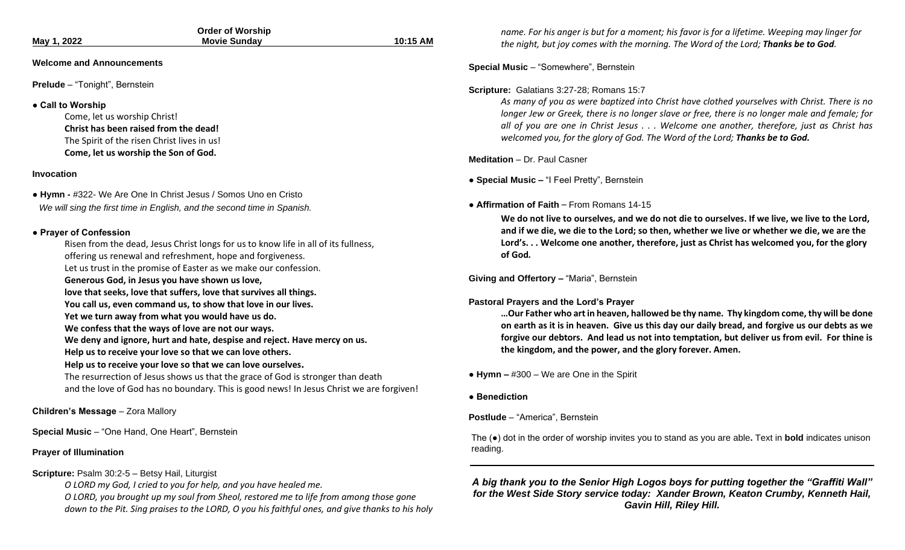| May 1, 2022                                      | <b>Order of Worship</b><br><b>Movie Sunday</b>                                           | 10:15 AM |
|--------------------------------------------------|------------------------------------------------------------------------------------------|----------|
|                                                  |                                                                                          |          |
| <b>Welcome and Announcements</b>                 |                                                                                          |          |
| <b>Prelude</b> - "Tonight", Bernstein            |                                                                                          |          |
| • Call to Worship                                |                                                                                          |          |
| Come, let us worship Christ!                     |                                                                                          |          |
| Christ has been raised from the dead!            |                                                                                          |          |
| The Spirit of the risen Christ lives in us!      |                                                                                          |          |
| Come, let us worship the Son of God.             |                                                                                          |          |
| Invocation                                       |                                                                                          |          |
|                                                  | • Hymn - #322- We Are One In Christ Jesus / Somos Uno en Cristo                          |          |
|                                                  | We will sing the first time in English, and the second time in Spanish.                  |          |
|                                                  |                                                                                          |          |
| • Prayer of Confession                           | Risen from the dead, Jesus Christ longs for us to know life in all of its fullness,      |          |
|                                                  | offering us renewal and refreshment, hope and forgiveness.                               |          |
|                                                  | Let us trust in the promise of Easter as we make our confession.                         |          |
|                                                  | Generous God, in Jesus you have shown us love,                                           |          |
|                                                  | love that seeks, love that suffers, love that survives all things.                       |          |
|                                                  | You call us, even command us, to show that love in our lives.                            |          |
|                                                  | Yet we turn away from what you would have us do.                                         |          |
|                                                  | We confess that the ways of love are not our ways.                                       |          |
|                                                  | We deny and ignore, hurt and hate, despise and reject. Have mercy on us.                 |          |
|                                                  | Help us to receive your love so that we can love others.                                 |          |
|                                                  | Help us to receive your love so that we can love ourselves.                              |          |
|                                                  | The resurrection of Jesus shows us that the grace of God is stronger than death          |          |
|                                                  | and the love of God has no boundary. This is good news! In Jesus Christ we are forgiven! |          |
| Children's Message - Zora Mallory                |                                                                                          |          |
| Special Music - "One Hand, One Heart", Bernstein |                                                                                          |          |

### **Prayer of Illumination**

#### **Scripture:** Psalm 30:2-5 – Betsy Hail, Liturgist

*O LORD my God, I cried to you for help, and you have healed me.*

*O LORD, you brought up my soul from Sheol, restored me to life from among those gone down to the Pit. Sing praises to the LORD, O you his faithful ones, and give thanks to his holy*  *name. For his anger is but for a moment; his favor is for a lifetime. Weeping may linger for the night, but joy comes with the morning. The Word of the Lord; Thanks be to God.* 

#### **Special Music** – "Somewhere", Bernstein

#### **Scripture:** Galatians 3:27-28; Romans 15:7

*As many of you as were baptized into Christ have clothed yourselves with Christ. There is no longer Jew or Greek, there is no longer slave or free, there is no longer male and female; for all of you are one in Christ Jesus . . . Welcome one another, therefore, just as Christ has welcomed you, for the glory of God. The Word of the Lord; Thanks be to God.*

#### **Meditation** – Dr. Paul Casner

**● Special Music –** "I Feel Pretty", Bernstein

#### **● Affirmation of Faith** – From Romans 14-15

**We do not live to ourselves, and we do not die to ourselves. If we live, we live to the Lord, and if we die, we die to the Lord; so then, whether we live or whether we die, we are the Lord's. . . Welcome one another, therefore, just as Christ has welcomed you, for the glory of God***.*

**Giving and Offertory –** "Maria", Bernstein

#### **Pastoral Prayers and the Lord's Prayer**

**…Our Father who art in heaven, hallowed be thy name. Thy kingdom come, thy will be done on earth as it is in heaven. Give us this day our daily bread, and forgive us our debts as we forgive our debtors. And lead us not into temptation, but deliver us from evil. For thine is the kingdom, and the power, and the glory forever. Amen.**

#### **● Hymn –** #300 – We are One in the Spirit

**● Benediction**

#### **Postlude** – "America", Bernstein

The (●) dot in the order of worship invites you to stand as you are able**.** Text in **bold** indicates unison reading.

*A big thank you to the Senior High Logos boys for putting together the "Graffiti Wall" for the West Side Story service today: Xander Brown, Keaton Crumby, Kenneth Hail, Gavin Hill, Riley Hill.*